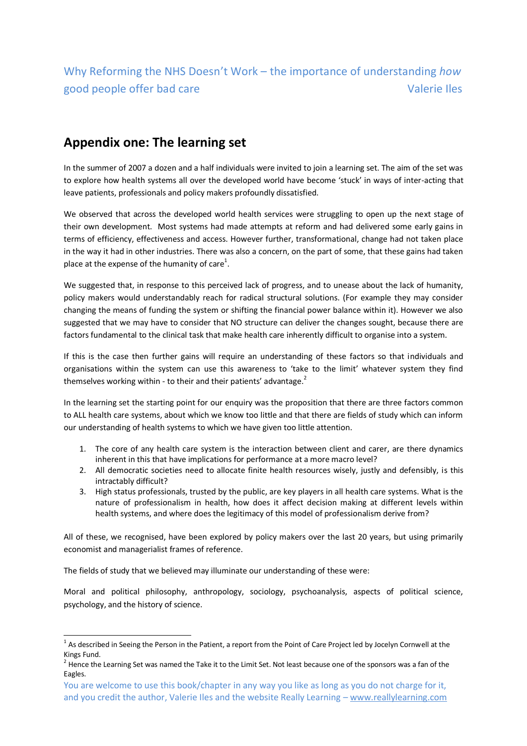## Why Reforming the NHS Doesn't Work – the importance of understanding *how* good people offer bad care Valerie Iles

## **Appendix one: The learning set**

In the summer of 2007 a dozen and a half individuals were invited to join a learning set. The aim of the set was to explore how health systems all over the developed world have become 'stuck' in ways of inter-acting that leave patients, professionals and policy makers profoundly dissatisfied.

We observed that across the developed world health services were struggling to open up the next stage of their own development. Most systems had made attempts at reform and had delivered some early gains in terms of efficiency, effectiveness and access. However further, transformational, change had not taken place in the way it had in other industries. There was also a concern, on the part of some, that these gains had taken place at the expense of the humanity of care<sup>1</sup>.

We suggested that, in response to this perceived lack of progress, and to unease about the lack of humanity, policy makers would understandably reach for radical structural solutions. (For example they may consider changing the means of funding the system or shifting the financial power balance within it). However we also suggested that we may have to consider that NO structure can deliver the changes sought, because there are factors fundamental to the clinical task that make health care inherently difficult to organise into a system.

If this is the case then further gains will require an understanding of these factors so that individuals and organisations within the system can use this awareness to 'take to the limit' whatever system they find themselves working within - to their and their patients' advantage. $2$ 

In the learning set the starting point for our enquiry was the proposition that there are three factors common to ALL health care systems, about which we know too little and that there are fields of study which can inform our understanding of health systems to which we have given too little attention.

- 1. The core of any health care system is the interaction between client and carer, are there dynamics inherent in this that have implications for performance at a more macro level?
- 2. All democratic societies need to allocate finite health resources wisely, justly and defensibly, is this intractably difficult?
- 3. High status professionals, trusted by the public, are key players in all health care systems. What is the nature of professionalism in health, how does it affect decision making at different levels within health systems, and where does the legitimacy of this model of professionalism derive from?

All of these, we recognised, have been explored by policy makers over the last 20 years, but using primarily economist and managerialist frames of reference.

The fields of study that we believed may illuminate our understanding of these were:

**.** 

Moral and political philosophy, anthropology, sociology, psychoanalysis, aspects of political science, psychology, and the history of science.

 $^1$  As described in Seeing the Person in the Patient, a report from the Point of Care Project led by Jocelyn Cornwell at the Kings Fund.

 $2$  Hence the Learning Set was named the Take it to the Limit Set. Not least because one of the sponsors was a fan of the Eagles.

You are welcome to use this book/chapter in any way you like as long as you do not charge for it, and you credit the author, Valerie Iles and the website Really Learning - www.reallylearning.com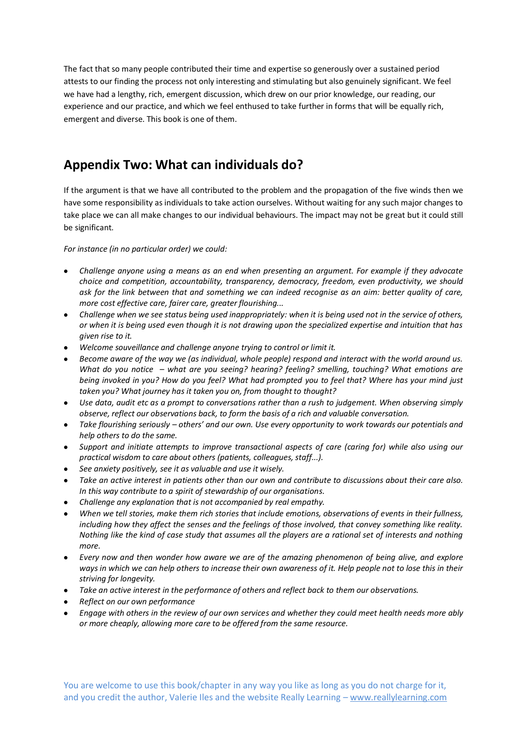The fact that so many people contributed their time and expertise so generously over a sustained period attests to our finding the process not only interesting and stimulating but also genuinely significant. We feel we have had a lengthy, rich, emergent discussion, which drew on our prior knowledge, our reading, our experience and our practice, and which we feel enthused to take further in forms that will be equally rich, emergent and diverse. This book is one of them.

## **Appendix Two: What can individuals do?**

If the argument is that we have all contributed to the problem and the propagation of the five winds then we have some responsibility as individuals to take action ourselves. Without waiting for any such major changes to take place we can all make changes to our individual behaviours. The impact may not be great but it could still be significant.

*For instance (in no particular order) we could:*

- *Challenge anyone using a means as an end when presenting an argument. For example if they advocate choice and competition, accountability, transparency, democracy, freedom, even productivity, we should ask for the link between that and something we can indeed recognise as an aim: better quality of care, more cost effective care, fairer care, greater flourishing...*
- *Challenge when we see status being used inappropriately: when it is being used not in the service of others, or when it is being used even though it is not drawing upon the specialized expertise and intuition that has given rise to it.*
- *Welcome souveillance and challenge anyone trying to control or limit it.*
- *Become aware of the way we (as individual, whole people) respond and interact with the world around us. What do you notice – what are you seeing? hearing? feeling? smelling, touching? What emotions are being invoked in you? How do you feel? What had prompted you to feel that? Where has your mind just taken you? What journey has it taken you on, from thought to thought?*
- *Use data, audit etc as a prompt to conversations rather than a rush to judgement. When observing simply observe, reflect our observations back, to form the basis of a rich and valuable conversation.*
- *Take flourishing seriously – others' and our own. Use every opportunity to work towards our potentials and help others to do the same.*
- *Support and initiate attempts to improve transactional aspects of care (caring for) while also using our practical wisdom to care about others (patients, colleagues, staff...).*
- *See anxiety positively, see it as valuable and use it wisely.*
- *Take an active interest in patients other than our own and contribute to discussions about their care also. In this way contribute to a spirit of stewardship of our organisations.*
- *Challenge any explanation that is not accompanied by real empathy.*
- *When we tell stories, make them rich stories that include emotions, observations of events in their fullness, including how they affect the senses and the feelings of those involved, that convey something like reality. Nothing like the kind of case study that assumes all the players are a rational set of interests and nothing more.*
- *Every now and then wonder how aware we are of the amazing phenomenon of being alive, and explore ways in which we can help others to increase their own awareness of it. Help people not to lose this in their striving for longevity.*
- *Take an active interest in the performance of others and reflect back to them our observations.*
- *Reflect on our own performance*
- *Engage with others in the review of our own services and whether they could meet health needs more ably or more cheaply, allowing more care to be offered from the same resource.*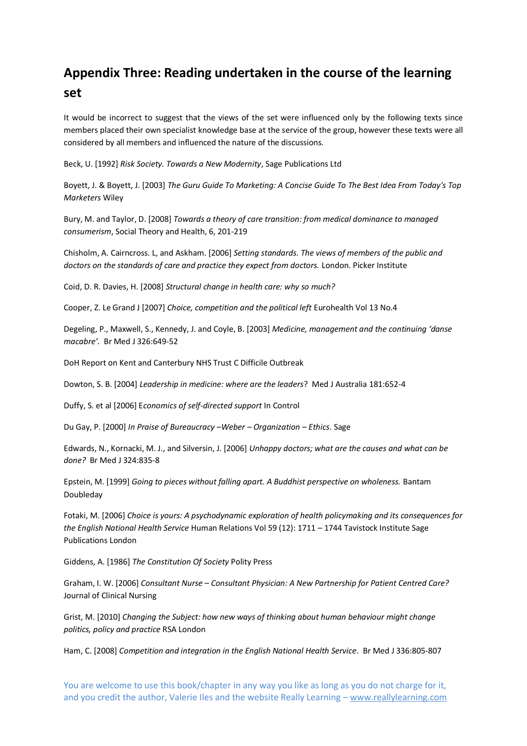## **Appendix Three: Reading undertaken in the course of the learning set**

It would be incorrect to suggest that the views of the set were influenced only by the following texts since members placed their own specialist knowledge base at the service of the group, however these texts were all considered by all members and influenced the nature of the discussions.

Beck, U. [1992] *Risk Society. Towards a New Modernity*, Sage Publications Ltd

Boyett, J. & Boyett, J. [2003] *The Guru Guide To Marketing: A Concise Guide To The Best Idea From Today's Top Marketers* Wiley

Bury, M. and Taylor, D. [2008] *Towards a theory of care transition: from medical dominance to managed consumerism*, Social Theory and Health, 6, 201-219

Chisholm, A. Cairncross. L, and Askham. [2006] *Setting standards. The views of members of the public and doctors on the standards of care and practice they expect from doctors.* London. Picker Institute

Coid, D. R. Davies, H. [2008] *Structural change in health care: why so much?*

Cooper, Z. Le Grand J [2007] *Choice, competition and the political left* Eurohealth Vol 13 No.4

Degeling, P., Maxwell, S., Kennedy, J. and Coyle, B. [2003] *Medicine, management and the continuing 'danse macabre'.* Br Med J 326:649-52

DoH Report on Kent and Canterbury NHS Trust C Difficile Outbreak

Dowton, S. B. [2004] *Leadership in medicine: where are the leaders*? Med J Australia 181:652-4

Duffy, S. et al [2006] E*conomics of self-directed support* In Control

Du Gay, P. [2000] *In Praise of Bureaucracy –Weber – Organization – Ethics*. Sage

Edwards, N., Kornacki, M. J., and Silversin, J. [2006] *Unhappy doctors; what are the causes and what can be done?* Br Med J 324:835-8

Epstein, M. [1999] *Going to pieces without falling apart. A Buddhist perspective on wholeness.* Bantam Doubleday

Fotaki, M. [2006] *Choice is yours: A psychodynamic exploration of health policymaking and its consequences for the English National Health Service* Human Relations Vol 59 (12): 1711 – 1744 Tavistock Institute Sage Publications London

Giddens, A. [1986] *The Constitution Of Society* Polity Press

Graham, I. W. [2006] *Consultant Nurse – Consultant Physician: A New Partnership for Patient Centred Care?* Journal of Clinical Nursing

Grist, M. [2010] *Changing the Subject: how new ways of thinking about human behaviour might change politics, policy and practice* RSA London

Ham, C. [2008] *Competition and integration in the English National Health Service*. Br Med J 336:805-807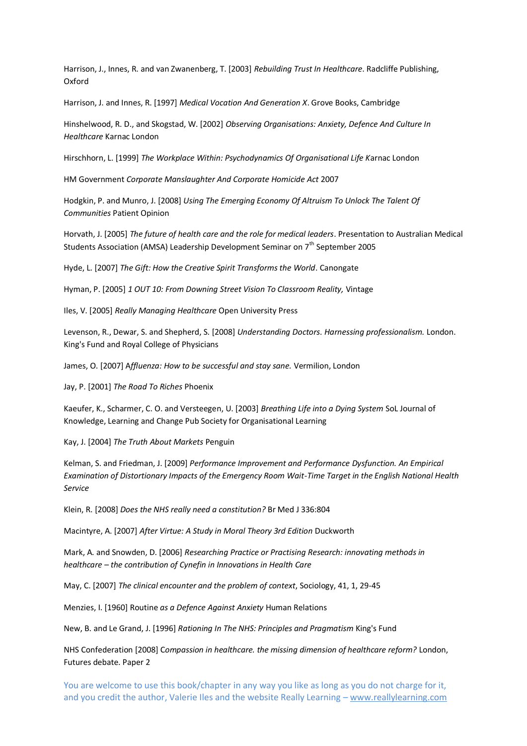Harrison, J., Innes, R. and van Zwanenberg, T. [2003] *Rebuilding Trust In Healthcare*. Radcliffe Publishing, Oxford

Harrison, J. and Innes, R. [1997] *Medical Vocation And Generation X*. Grove Books, Cambridge

Hinshelwood, R. D., and Skogstad, W. [2002] *Observing Organisations: Anxiety, Defence And Culture In Healthcare* Karnac London

Hirschhorn, L. [1999] *The Workplace Within: Psychodynamics Of Organisational Life K*arnac London

HM Government *Corporate Manslaughter And Corporate Homicide Act* 2007

Hodgkin, P. and Munro, J. [2008] *Using The Emerging Economy Of Altruism To Unlock The Talent Of Communities* Patient Opinion

Horvath, J. [2005] *The future of health care and the role for medical leaders*. Presentation to Australian Medical Students Association (AMSA) Leadership Development Seminar on 7<sup>th</sup> September 2005

Hyde, L. [2007] *The Gift: How the Creative Spirit Transforms the World*. Canongate

Hyman, P. [2005] *1 OUT 10: From Downing Street Vision To Classroom Reality,* Vintage

Iles, V. [2005] *Really Managing Healthcare* Open University Press

Levenson, R., Dewar, S. and Shepherd, S. [2008] *Understanding Doctors*. *Harnessing professionalism.* London. King's Fund and Royal College of Physicians

James, O. [2007] A*ffluenza: How to be successful and stay sane.* Vermilion, London

Jay, P. [2001] *The Road To Riches* Phoenix

Kaeufer, K., Scharmer, C. O. and Versteegen, U. [2003] *Breathing Life into a Dying System* SoL Journal of Knowledge, Learning and Change Pub Society for Organisational Learning

Kay, J. [2004] *The Truth About Markets* Penguin

Kelman, S. and Friedman, J. [2009] *Performance Improvement and Performance Dysfunction. An Empirical Examination of Distortionary Impacts of the Emergency Room Wait-Time Target in the English National Health Service*

Klein, R. [2008] *Does the NHS really need a constitution?* Br Med J 336:804

Macintyre, A. [2007] *After Virtue: A Study in Moral Theory 3rd Edition* Duckworth

Mark, A. and Snowden, D. [2006] *Researching Practice or Practising Research: innovating methods in healthcare – the contribution of Cynefin in Innovations in Health Care*

May, C. [2007] *The clinical encounter and the problem of context*, Sociology, 41, 1, 29-45

Menzies, I. [1960] Routine *as a Defence Against Anxiety* Human Relations

New, B. and Le Grand, J. [1996] *Rationing In The NHS: Principles and Pragmatism* King's Fund

NHS Confederation [2008] C*ompassion in healthcare. the missing dimension of healthcare reform?* London, Futures debate. Paper 2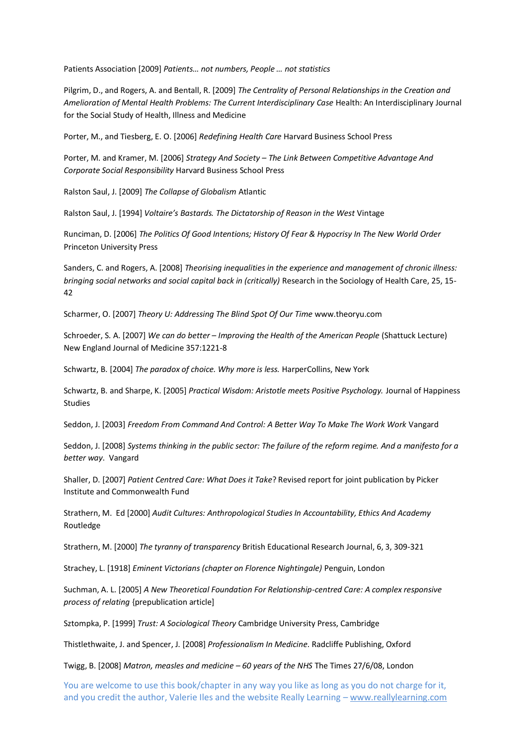Patients Association [2009] *Patients… not numbers, People … not statistics*

Pilgrim, D., and Rogers, A. and Bentall, R. [2009] *The Centrality of Personal Relationships in the Creation and Amelioration of Mental Health Problems: The Current Interdisciplinary Case* Health: An Interdisciplinary Journal for the Social Study of Health, Illness and Medicine

Porter, M., and Tiesberg, E. O. [2006] *Redefining Health Care* Harvard Business School Press

Porter, M. and Kramer, M. [2006] *Strategy And Society – The Link Between Competitive Advantage And Corporate Social Responsibility* Harvard Business School Press

Ralston Saul, J. [2009] *The Collapse of Globalism* Atlantic

Ralston Saul, J. [1994] *Voltaire's Bastards. The Dictatorship of Reason in the West* Vintage

Runciman, D. [2006] *The Politics Of Good Intentions; History Of Fear & Hypocrisy In The New World Order* Princeton University Press

Sanders, C. and Rogers, A. [2008] *Theorising inequalities in the experience and management of chronic illness: bringing social networks and social capital back in (critically)* Research in the Sociology of Health Care, 25, 15- 42

Scharmer, O. [2007] *Theory U: Addressing The Blind Spot Of Our Time* www.theoryu.com

Schroeder, S. A. [2007] *We can do better – Improving the Health of the American People* (Shattuck Lecture) New England Journal of Medicine 357:1221-8

Schwartz, B. [2004] *The paradox of choice. Why more is less.* HarperCollins, New York

Schwartz, B. and Sharpe, K. [2005] *Practical Wisdom: Aristotle meets Positive Psychology.* Journal of Happiness Studies

Seddon, J. [2003] *Freedom From Command And Control: A Better Way To Make The Work Work* Vangard

Seddon, J. [2008] *Systems thinking in the public sector: The failure of the reform regime. And a manifesto for a better way*. Vangard

Shaller, D. [2007] *Patient Centred Care: What Does it Take*? Revised report for joint publication by Picker Institute and Commonwealth Fund

Strathern, M. Ed [2000] *Audit Cultures: Anthropological Studies In Accountability, Ethics And Academy* Routledge

Strathern, M. [2000] *The tyranny of transparency* British Educational Research Journal, 6, 3, 309-321

Strachey, L. [1918] *Eminent Victorians (chapter on Florence Nightingale)* Penguin, London

Suchman, A. L. [2005] *A New Theoretical Foundation For Relationship-centred Care: A complex responsive process of relating* {prepublication article]

Sztompka, P. [1999] *Trust: A Sociological Theory* Cambridge University Press, Cambridge

Thistlethwaite, J. and Spencer, J. [2008] *Professionalism In Medicine*. Radcliffe Publishing, Oxford

Twigg, B. [2008] *Matron, measles and medicine – 60 years of the NHS* The Times 27/6/08, London